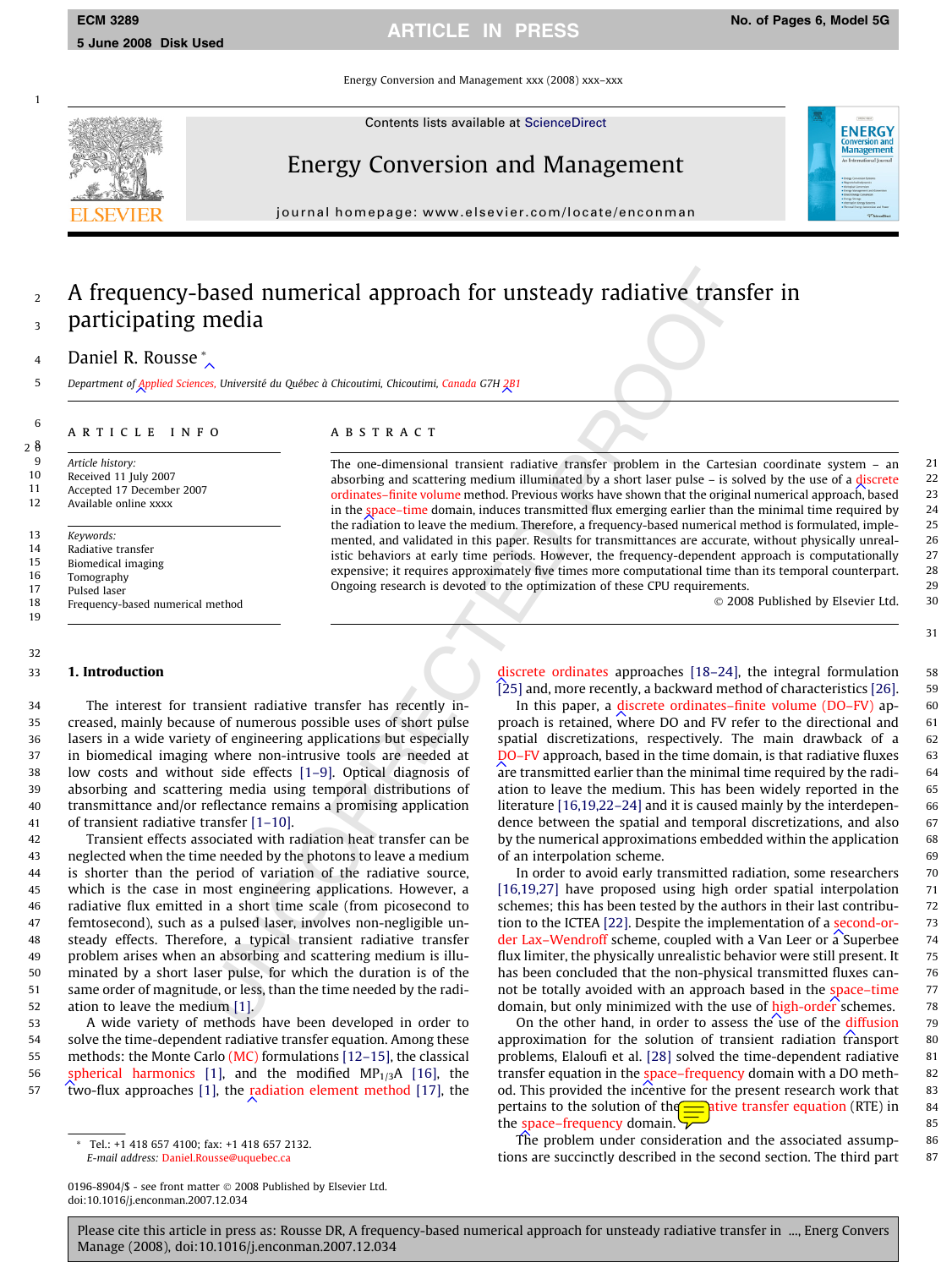Energy Conversion and Management xxx (2008) xxx–xxx

Contents lists available at [ScienceDirect](http://www.sciencedirect.com/science/journal/01968904)





# Energy Conversion and Management

journal homepage: [www.elsevier.com/locate/enconman](http://www.elsevier.com/locate/enconman)

# 1<br>
12 Contents lists available at ScienceDirect<br>
ELSEVIER Journal homepage: www.elsevier.com/locate/enconman<br>
2 A frequency-based numerical approach for unsteady radiative transfer in participating media

Daniel R. Rousse \*

5 Department of Applied Sciences, Université du Québec à Chicoutimi, Chicoutimi, Canada G7H 281

article info

 $\epsilon$ 6<br>ጸ  $2 \theta$ 

> 9 Article history:<br>10 Becaused 11 h Received 11 July 2007

11 Accepted 17 December 2007<br>12 Available online xxxx 12 Available online xxxx

13 Keywords:<br>14 Radiative

14 Radiative transfer<br>15 Biomedical imagin Biomedical imaging

16 Tomography<br>17 Pulsed laser

17 Pulsed laser<br>18 Frequency-F

#### Frequency-based numerical method 19

32

# 33 1. Introduction

 The interest for transient radiative transfer has recently in- creased, mainly because of numerous possible uses of short pulse lasers in a wide variety of engineering applications but especially in biomedical imaging where non-intrusive tools are needed at low costs and without side effects [1–9]. Optical diagnosis of absorbing and scattering media using temporal distributions of transmittance and/or reflectance remains a promising application of transient radiative transfer [1–10] .

 Transient effects associated with radiation heat transfer can be neglected when the time needed by the photons to leave a medium is shorter than the period of variation of the radiative source, which is the case in most engineering applications. However, a radiative flux emitted in a short time scale (from picosecond to femtosecond), such as a pulsed laser, involves non-negligible un- steady effects. Therefore, a typical transient radiative transfer problem arises when an absorbing and scattering medium is illu- minated by a short laser pulse, for which the duration is of the same order of magnitude, or less, than the time needed by the radi-ation to leave the medium [1].

 A wide variety of methods have been developed in order to solve the time-dependent radiative transfer equation. Among these 55 methods: the Monte Carlo (MC) formulations [12-15], the classical  *spherical harmonics [\[1\]](#page-5-0), and the modified MP* $_{1/3}$ *A [\[16\]](#page-5-0), the*  $\hat{t}$  wo-flux approaches [\[1\]](#page-5-0), the radiation element method [\[17\]](#page-5-0), the

E-mail address: [Daniel.Rousse@uquebec.ca](mailto:<xml_chg_old>Daniel.Rousse@uqebec.ca</xml_chg_old><xml_chg_new>Daniel.Rousse@uquebec.ca</xml_chg_new>)

0196-8904/\$ - see front matter - 2008 Published by Elsevier Ltd. t Tel.: +1 418 657 4100; fax: +1 418 657 2132.<br> *E-mail address: Daniel.Rousse@uquebec.ca*<br>
0196-8904/\$ - see front matter © 2008 Published<br>
doi:10.1016/j.enconman.2007.12.034

#### **ABSTRACT**

**Dasced numerical approach for unsteady radiative transmitted<br>
Timedia<br>
2.**<br>
S. [U](#page-5-0)niversité du Québec à Chicoutimi, Chicoutimi, Conada G7H 281<br>
2.<br>
S. Université du Québec à Chicoutimi, Chicoutimi, Conada G7H 281<br>
2.<br>
The The one-dimensional transient radiative transfer problem in the Cartesian coordinate system – an 21 absorbing and scattering medium illuminated by a short laser pulse – is solved by the use of a discrete 22 ordinates–finite volume method. Previous works have shown that the original numerical approach, based 23 in the space–time domain, induces transmitted flux emerging earlier than the minimal time required by 24 the radiation to leave the medium. Therefore, a frequency-based numerical method is formulated, imple- 25 mented, and validated in this paper. Results for transmittances are accurate, without physically unreal-<br>istic behaviors at early time periods. However, the frequency-dependent approach is computationally istic behaviors at early time periods. However, the frequency-dependent approach is computationally expensive; it requires approximately five times more computational time than its temporal counterpart. 28 Ongoing research is devoted to the optimization of these CPU requirements. 29

© 2008 Published by Elsevier Ltd. 30

. 59

discrete ordinates approaches [\[18–24\],](#page-5-0) the integral formulation 58 [25] and, more recently, a backward method of characteristics [\[26\]](#page-5-0)

In this paper, a discrete ordinates–finite volume (DO–FV) ap- 60 proach is retained, where DO and FV refer to the directional and 61 spatial discretizations, respectively. The main drawback of a 62 DO–FV approach, based in the time domain, is that radiative fluxes 63 are transmitted earlier than the minimal time required by the radi-<br>64 ation to leave the medium. This has been widely reported in the 65 literature [\[16,19,22–24\]](#page-5-0) and it is caused mainly by the interdepen- 66 dence between the spatial and temporal discretizations, and also 67 by the numerical approximations embedded within the application 68 of an interpolation scheme. 69

In order to avoid early transmitted radiation, some researchers 70 [16,19,27] have proposed using high order spatial interpolation 71 schemes; this has been tested by the authors in their last contribu-<br>
72 tion to the ICTEA [\[22\]](#page-5-0). Despite the implementation of a second-or-<br>
73 der Lax–Wendroff scheme, coupled with a Van Leer or a Superbee 74 flux limiter, the physically unrealistic behavior were still present. It 75 has been concluded that the non-physical transmitted fluxes can-<br>
76 not be totally avoided with an approach based in the space-time 77 domain, but only minimized with the use of high-order schemes. 78

On the other hand, in order to assess the use of the diffusion 79 approximation for the solution of transient radiation transport 80 problems, Elaloufi et al. [\[28\]](#page-5-0) solved the time-dependent radiative 81 transfer equation in the space–frequency domain with a DO meth- 82 od. This provided the incentive for the present research work that 83 pertains to the solution of the  $\equiv$  ative transfer equation (RTE) in 84 the space–frequency domain.  $\sqrt{ }$  85

The problem under consideration and the associated assump-<br>86 tions are succinctly described in the second section. The third part 87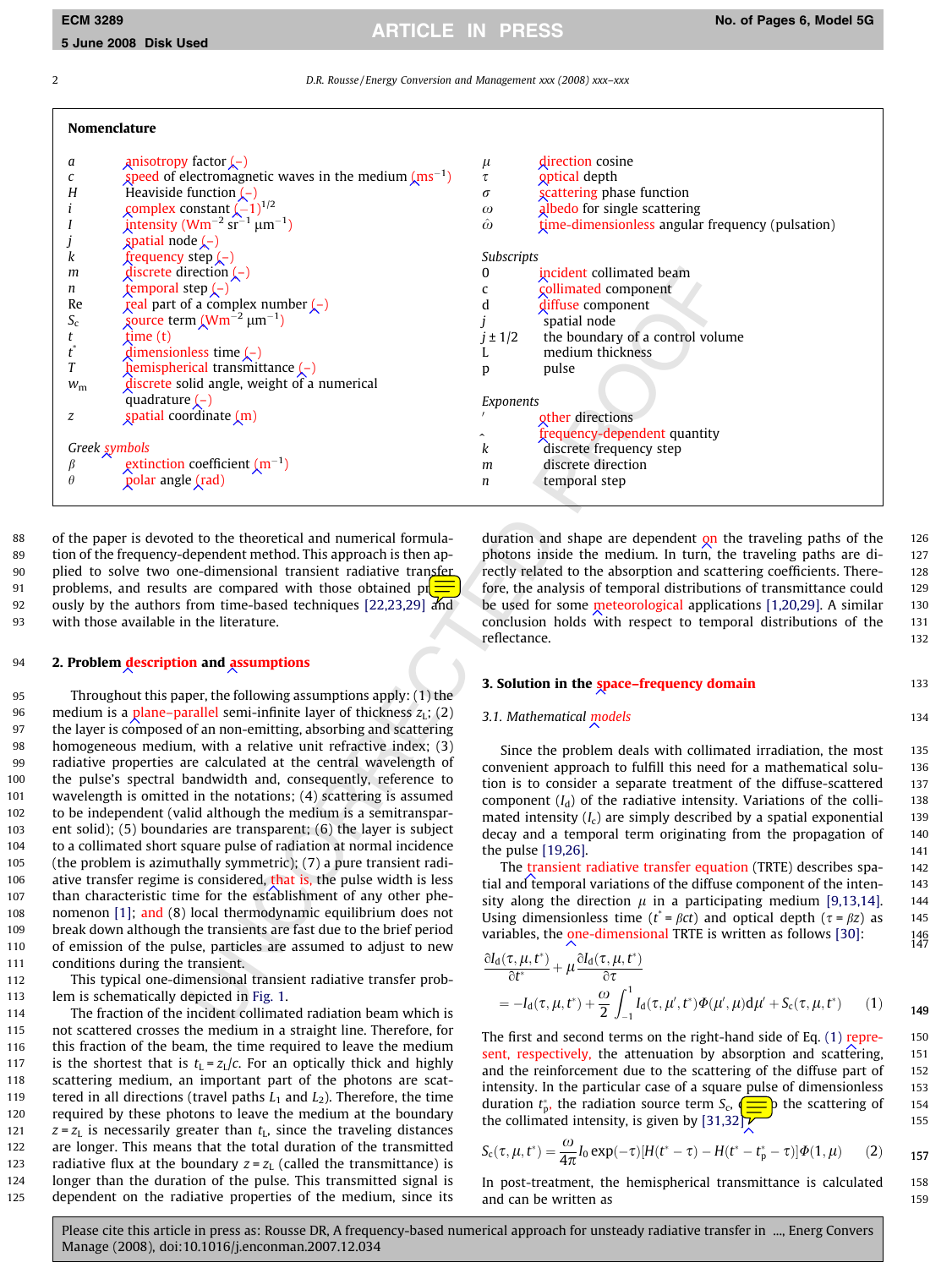2 D.R. Rousse / Energy Conversion and Management xxx (2008) xxx–xxx

# Nomenclature

| a                                    | anisotropy factor $(-)$                                        | $\mu$          | direction cosine                                 |
|--------------------------------------|----------------------------------------------------------------|----------------|--------------------------------------------------|
| с                                    | speed of electromagnetic waves in the medium $(ms^{-1})$       | $\tau$         | gptical depth                                    |
| H                                    | Heaviside function $(-)$                                       | $\sigma$       | scattering phase function                        |
| $\boldsymbol{i}$                     | complex constant $(-1)^{1/2}$                                  | $\omega$       | albedo for single scattering                     |
| $\cal I$                             | intensity ( $Wm^{-2}$ sr <sup>-1</sup> $\mu$ m <sup>-1</sup> ) | $\hat{\omega}$ | time-dimensionless angular frequency (pulsation) |
| $\frac{j}{k}$                        | spatial node $(-)$                                             |                |                                                  |
|                                      | frequency step $(-)$                                           | Subscripts     |                                                  |
| m                                    | $\int$ discrete direction $(-)$                                | 0              | incident collimated beam                         |
| n                                    | temporal step $(-)$                                            |                | collimated component                             |
| Re                                   | <b>real part of a complex number <math>(-)</math></b>          |                | diffuse component                                |
| $S_{\rm c}$                          | Source term $(Nm^{-2} \mu m^{-1})$                             |                | spatial node                                     |
|                                      | time(t)                                                        | $j \pm 1/2$    | the boundary of a control volume                 |
| $\begin{matrix} t\\ t^*\end{matrix}$ | $dimensionless time$ (-)                                       |                | medium thickness                                 |
| $\boldsymbol{T}$                     | hemispherical transmittance (-)                                | p              | pulse                                            |
| $W_{m}$                              | discrete solid angle, weight of a numerical                    |                |                                                  |
|                                      | quadrature $(-)$                                               | Exponents      |                                                  |
| z                                    | spatial coordinate $(m)$                                       |                | other directions                                 |
|                                      |                                                                |                | frequency-dependent quantity                     |
| Greek symbols                        |                                                                | k              | discrete frequency step                          |
| $\beta$                              | <b>gxtinction coefficient</b> $(m^{-1})$                       | m              | discrete direction                               |
| $\theta$                             | polar angle (rad)                                              | n              | temporal step                                    |
|                                      |                                                                |                |                                                  |
|                                      |                                                                |                |                                                  |

 of the paper is devoted to the theoretical and numerical formula- tion of the frequency-dependent method. This approach is then ap-90 plied to solve two one-dimensional transient radiative transfer 91 problems, and results are compared with those obtained  $p_1$  ously by the authors from time-based techniques [22,23,29] and with those available in the literature.

### 94 2. Problem description and assumptions

d to the theoretical and numerical formula-<br>
elependent method. This approach is then ap-<br>
photons insi-<br>
elependent method. This approach is then ap-<br>
photons insi-<br>
election time-based techniques [22,23,29] and<br>
the lit Throughout this paper, the following assumptions apply: (1) the 96 medium is a <mark>plane–parallel</mark> semi-infinite layer of thickness  $z_\text{L}$ ; (2) the layer is composed of an non-emitting, absorbing and scattering homogeneous medium, with a relative unit refractive index; (3) radiative properties are calculated at the central wavelength of the pulse's spectral bandwidth and, consequently, reference to wavelength is omitted in the notations; (4) scattering is assumed to be independent (valid although the medium is a semitranspar- ent solid); (5) boundaries are transparent; (6) the layer is subject to a collimated short square pulse of radiation at normal incidence (the problem is azimuthally symmetric); (7) a pure transient radi-106 ative transfer regime is considered, that is, the pulse width is less than characteristic time for the establishment of any other phe-108 nomenon [\[1\]](#page-5-0); and (8) local thermodynamic equilibrium does not break down although the transients are fast due to the brief period 110 of emission of the pulse, particles are assumed to adjust to new conditions during the transient.

112 This typical one-dimensional transient radiative transfer prob-113 lem is schematically depicted in Fig. 1.

 The fraction of the incident collimated radiation beam which is not scattered crosses the medium in a straight line. Therefore, for this fraction of the beam, the time required to leave the medium 117 is the shortest that is  $t_L = z_L/c$ . For an optically thick and highly scattering medium, an important part of the photons are scat-119 tered in all directions (travel paths  $L_1$  and  $L_2$ ). Therefore, the time required by these photons to leave the medium at the boundary 121  $z$  =  $z_\mathrm{L}$  is necessarily greater than  $t_\mathrm{L}$ , since the traveling distances are longer. This means that the total duration of the transmitted 123 radiative flux at the boundary  $z = z_L$  (called the transmittance) is longer than the duration of the pulse. This transmitted signal is dependent on the radiative properties of the medium, since its

duration and shape are dependent on the traveling paths of the 126 photons inside the medium. In turn, the traveling paths are di- 127 rectly related to the absorption and scattering coefficients. There- 128 fore, the analysis of temporal distributions of transmittance could 129 be used for some meteorological applications [\[1,20,29\]](#page-5-0). A similar 130 conclusion holds with respect to temporal distributions of the 131 reflectance. 132

### **3. Solution in the space–frequency domain** 133

### 3.1. Mathematical models and the series of the 134

Since the problem deals with collimated irradiation, the most 135 convenient approach to fulfill this need for a mathematical solu- 136 tion is to consider a separate treatment of the diffuse-scattered 137 component  $(I_d)$  of the radiative intensity. Variations of the colli- 138 mated intensity  $(I_c)$  are simply described by a spatial exponential 139 decay and a temporal term originating from the propagation of 140 the pulse [\[19,26\]](#page-5-0) . 141

The transient radiative transfer equation (TRTE) describes spa- 142 tial and temporal variations of the diffuse component of the inten-<br>143 sity along the direction  $\mu$  in a participating medium [\[9,13,14\]](#page-5-0) Using dimensionless time ( $t^* = \beta ct$ ) and optical depth ( $\tau = \beta z$ ) as 145 variables, the  $Q$ ne-dimensional TRTE is written as follows [\[30\]](#page-5-0): : 146 147

$$
\frac{\partial I_d(\tau, \mu, t^*)}{\partial t^*} + \mu \frac{\partial I_d(\tau, \mu, t^*)}{\partial \tau} \n= -I_d(\tau, \mu, t^*) + \frac{\omega}{2} \int_{-1}^1 I_d(\tau, \mu', t^*) \Phi(\mu', \mu) d\mu' + S_c(\tau, \mu, t^*) \qquad (1)
$$

The first and second terms on the right-hand side of Eq. (1) repre-<br>150 sent, respectively, the attenuation by absorption and scattering, 151 and the reinforcement due to the scattering of the diffuse part of 152 intensity. In the particular case of a square pulse of dimensionless 153 duration  $t_p^*$ , the radiation source term  $S_c$ ,  $\left(\frac{1}{\frac{1}{2}}\right)$  the scattering of 154 the collimated intensity, is given by  $[31,32]$ 

$$
S_{c}(\tau, \mu, t^{*}) = \frac{\omega}{4\pi} I_{0} \exp(-\tau) [H(t^{*} - \tau) - H(t^{*} - t_{p}^{*} - \tau)] \Phi(1, \mu) \qquad (2)
$$

In post-treatment, the hemispherical transmittance is calculated 158 and can be written as 159

Please cite this article in press as: Rousse DR, A frequency-based numerical approach for unsteady radiative transfer in ..., Energ Convers Manage (2008), doi:10.1016/j.enconman.2007.12.034

- . 144
- 
- 

<sup>Þ</sup> <sup>149</sup>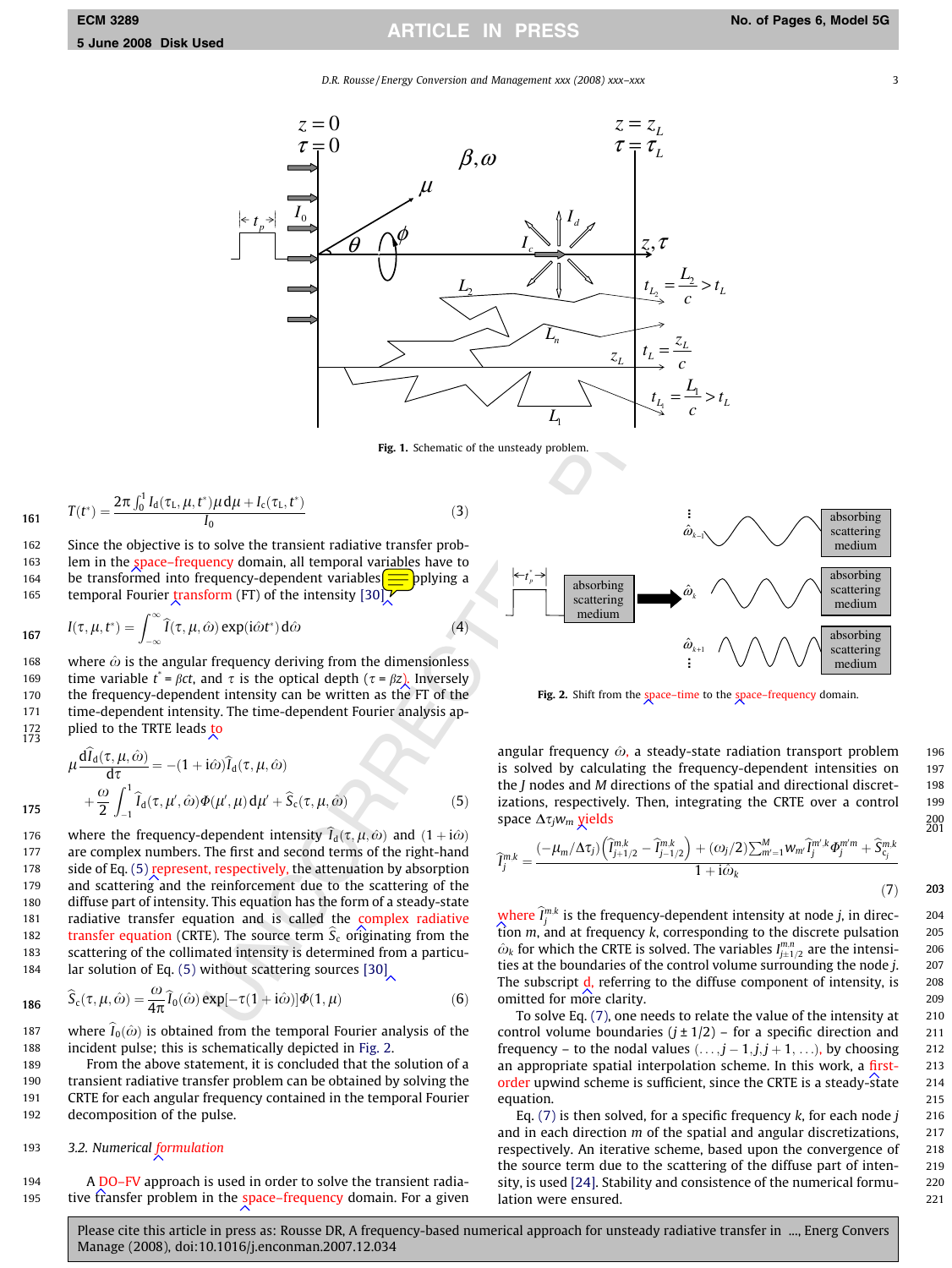3

D.R. Rousse / Energy Conversion and Management xxx (2008) xxx–xxx

<span id="page-2-0"></span>

Fig. 1. Schematic of the unsteady problem.

161 
$$
T(t^*) = \frac{2\pi \int_0^1 I_d(\tau_L, \mu, t^*) \mu d\mu + I_c(\tau_L, t^*)}{I_0}
$$
(3)

162 Since the objective is to solve the transient radiative transfer prob-163 lem in the space–frequency domain, all temporal variables have to 164 be transformed into frequency-dependent variables  $\equiv$  bplying a 165 temporal Fourier transform (FT) of the intensity [30]

167 
$$
I(\tau, \mu, t^*) = \int_{-\infty}^{\infty} \widehat{I}(\tau, \mu, \widehat{\omega}) \exp(i\widehat{\omega}t^*) d\widehat{\omega}
$$
(4)

168 where  $\hat{\omega}$  is the angular frequency deriving from the dimensionless 169 time variable  $t^* = \beta ct$ , and  $\tau$  is the optical depth  $(\tau = \beta z)$ . Inversely 170 the frequency-dependent intensity can be written as the FT of the 171 time-dependent intensity. The time-dependent Fourier analysis applied to the TRTE leads to 172<br>173

$$
\mu \frac{d\hat{I}_{d}(\tau, \mu, \hat{\omega})}{d\tau} = -(1 + i\hat{\omega})\hat{I}_{d}(\tau, \mu, \hat{\omega})
$$
  
175 
$$
+ \frac{\omega}{2} \int_{-1}^{1} \hat{I}_{d}(\tau, \mu', \hat{\omega}) \Phi(\mu', \mu) d\mu' + \hat{S}_{c}(\tau, \mu, \hat{\omega})
$$
(5)

*I<sub>0</sub>*<br>
o solve the transient radiative transfer prob-<br>
equency-dependent variables have to<br>
equency-dependent variables served<br>
form (FT) of the intensity [30]  $\chi$ <br>
on) exp(iot\*) do i (4)<br>
on) exp(iot\*) do i (4)<br>
on) 176 where the frequency-dependent intensity  $\hat{I}_d(\tau,\mu,\hat{\omega})$  and  $(1+i\hat{\omega})$ 177 are complex numbers. The first and second terms of the right-hand 178 side of Eq. (5) represent, respectively, the attenuation by absorption 179 and scattering and the reinforcement due to the scattering of the 180 diffuse part of intensity. This equation has the form of a steady-state 181 radiative transfer equation and is called the complex radiative 182 **transfer equation** (CRTE). The source term  $S_c$  originating from the 183 scattering of the collimated intensity is determined from a particu-184 lar solution of Eq. (5) without scattering sources [30]

$$
\mathbf{186} \qquad \widehat{S}_{c}(\tau,\mu,\hat{\omega}) = \frac{\omega}{4\pi} \widehat{I}_{0}(\hat{\omega}) \exp[-\tau(1+i\hat{\omega})] \Phi(1,\mu) \tag{6}
$$

187 where  $\widehat{I}_0(\hat{\omega})$  is obtained from the temporal Fourier analysis of the 188 incident pulse; this is schematically depicted in Fig. 2 .

 From the above statement, it is concluded that the solution of a transient radiative transfer problem can be obtained by solving the CRTE for each angular frequency contained in the temporal Fourier decomposition of the pulse.

# 193 3.2. Numerical formulation

194 A DO–FV approach is used in order to solve the transient radia-195 tive transfer problem in the space–frequency domain. For a given



Fig. 2. Shift from the space–time to the space–frequency domain.

angular frequency  $\hat{\omega}$ , a steady-state radiation transport problem 196 is solved by calculating the frequency-dependent intensities on 197 the J nodes and M directions of the spatial and directional discret- 198 izations, respectively. Then, integrating the CRTE over a control 199 space  $\Delta \tau_j w_m$  yields 200

$$
\widehat{I}_{j}^{m,k} = \frac{(-\mu_{m}/\Delta\tau_{j})\left(\widehat{I}_{j+1/2}^{m,k} - \widehat{I}_{j-1/2}^{m,k}\right) + (\omega_{j}/2)\sum_{m'=1}^{M} w_{m'} \widehat{I}_{j}^{m',k} \Phi_{j}^{m'm} + \widehat{S}_{c_{j}}^{m,k}}{1 + i\hat{\omega}_{k}}
$$
\n(7)

where  $\widehat{I}^{m,k}_j$  is the frequency-dependent intensity at node j, in direc- 204 tion  $m$ , and at frequency  $k$ , corresponding to the discrete pulsation 205  $\hat{\omega}_k$  for which the CRTE is solved. The variables  $I_{j+1/2}^{m,n}$  are the intensi-<br>ties at the boundaries of the control volume surrounding the node *i*. 207 ties at the boundaries of the control volume surrounding the node *j*. The subscript d, referring to the diffuse component of intensity, is 208 omitted for more clarity. 209

To solve Eq. (7), one needs to relate the value of the intensity at 210 control volume boundaries  $(j \pm 1/2)$  – for a specific direction and 211 frequency – to the nodal values  $(\ldots,j-1,j,j+1,\ldots)$ , by choosing 212 an appropriate spatial interpolation scheme. In this work, a first- 213 order upwind scheme is sufficient, since the CRTE is a steady-state 214 equation. 215

Eq.  $(7)$  is then solved, for a specific frequency k, for each node and in each direction m of the spatial and angular discretizations, 217 respectively. An iterative scheme, based upon the convergence of 218 the source term due to the scattering of the diffuse part of inten- $2<sup>2</sup>$ sity, is used [\[24\].](#page-5-0) Stability and consistence of the numerical formu-<br>2 lation were ensured. 221 and 221 and 221 and 221 and 221 and 221 and 221 and 221 and 221 and 221 and 221 and 22

200<br>201

Þ 203

216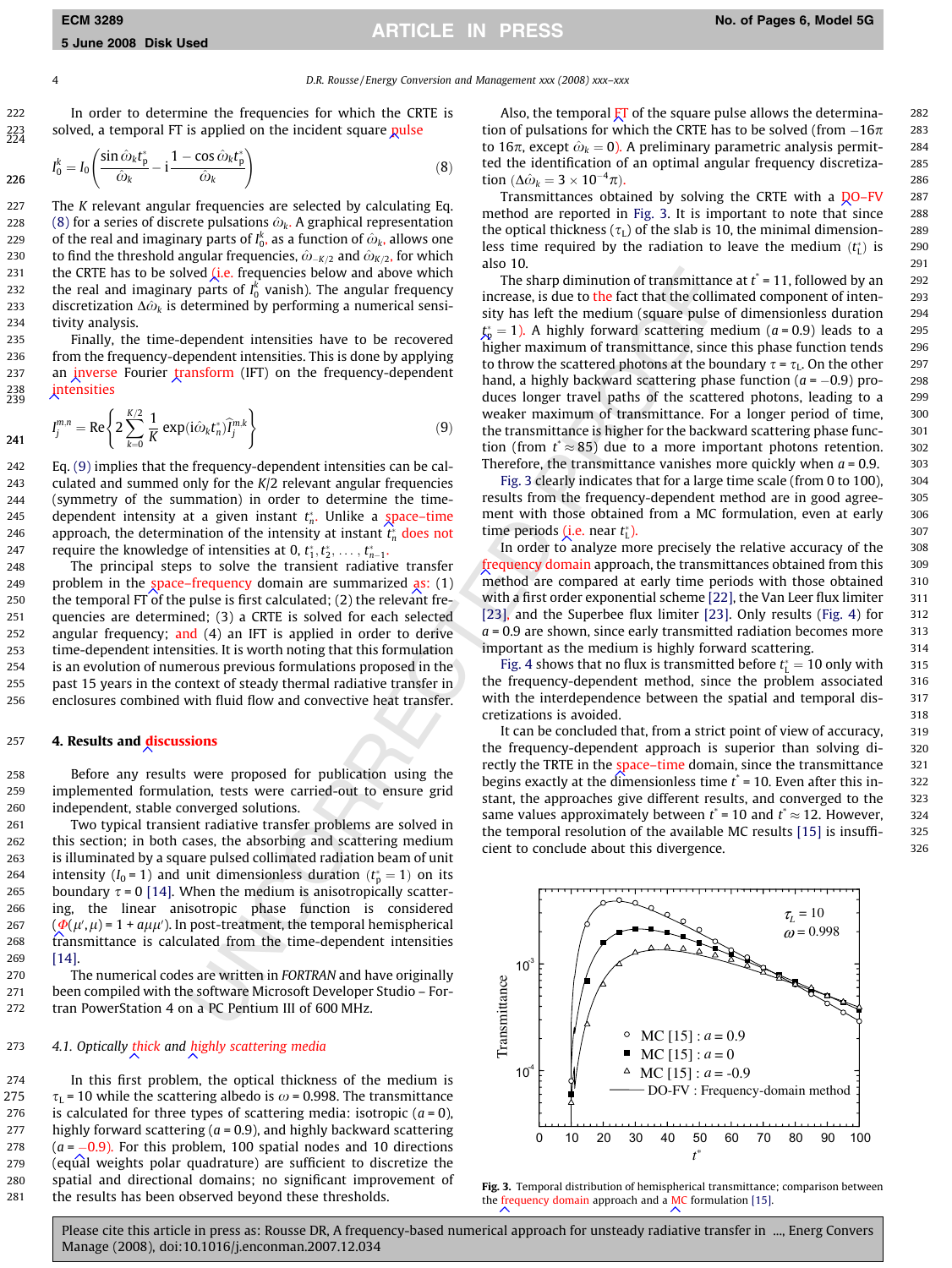4 D.R. Rousse / Energy Conversion and Management xxx (2008) xxx–xxx

p <sup>283</sup>

 $226$ 

241

267

222 In order to determine the frequencies for which the CRTE is  $223$  solved, a temporal FT is applied on the incident square pulse

$$
I_0^k = I_0 \left( \frac{\sin \hat{\omega}_k t_p^*}{\hat{\omega}_k} - i \frac{1 - \cos \hat{\omega}_k t_p^*}{\hat{\omega}_k} \right)
$$
 (8)

227 The K relevant angular frequencies are selected by calculating Eq. 228  $\qquad$  (8) for a series of discrete pulsations  $\hat{\omega}_{\mathsf{k}}$ . A graphical representation 229  $\;$  of the real and imaginary parts of  $I_0^k$ , as a function of  $\hat{\omega}_k$ , allows one 230 to find the threshold angular frequencies,  $\hat{\omega}_{-\texttt{K}/2}$  and  $\hat{\omega}_{\texttt{K}/2}$ , for which 231 the CRTE has to be solved  $(i.e.$  frequencies below and above which 232 the real and imaginary parts of  $I_0^k$  vanish). The angular frequency 233 discretization  $\Delta \hat{\omega}_k$  is determined by performing a numerical sensi-234 tivity analysis.

235 Finally, the time-dependent intensities have to be recovered 236 from the frequency-dependent intensities. This is done by applying 237 an *inverse* Fourier *transform* (IFT) on the frequency-dependent intensities 238<br>239

$$
I_j^{m,n} = \text{Re}\left\{2\sum_{k=0}^{K/2} \frac{1}{K} \exp(i\hat{\omega}_k t_n^*) \hat{I}_j^{m,k}\right\}
$$
(9)

242 Eq. (9) implies that the frequency-dependent intensities can be cal-243 culated and summed only for the  $K/2$  relevant angular frequencies 244 (symmetry of the summation) in order to determine the time-245 dependent intensity at a given instant t-<sup>n</sup>. Unlike a space–time 246 – approach, the determination of the intensity at instant  $t_n^*$  does not 247 require the knowledge of intensities at 0,  $t_1^*, t_2^*, \ldots, t_{n-1}^*$ .

 The principal steps to solve the transient radiative transfer 249 problem in the space–frequency domain are summarized  $\frac{1}{2}$  (1) 250 the temporal FT of the pulse is first calculated;  $(2)$  the relevant fre- quencies are determined; (3) a CRTE is solved for each selected 252 angular frequency; and  $(4)$  an IFT is applied in order to derive time-dependent intensities. It is worth noting that this formulation is an evolution of numerous previous formulations proposed in the past 15 years in the context of steady thermal radiative transfer in enclosures combined with fluid flow and convective heat transfer.

#### 257 4. Results and discussions

258 Before any results were proposed for publication using the 259 implemented formulation, tests were carried-out to ensure grid 260 independent, stable converged solutions.

261 Two typical transient radiative transfer problems are solved in 262 this section; in both cases, the absorbing and scattering medium 263 is illuminated by a square pulsed collimated radiation beam of unit 264 intensity ( $I_0$  = 1) and unit dimensionless duration ( $t_p^*$  = 1) on its 265 boundary  $\tau$  = 0 [\[14\]](#page-5-0). When the medium is anisotropically scatter-266 ing, the linear anisotropic phase function is considered  $(\mathcal{P}(\mu', \mu)$  = 1 +  $a\mu\mu'$ ). In post-treatment, the temporal hemispherical 268 transmittance is calculated from the time-dependent intensities 269 [\[14\]](#page-5-0) .

270 The numerical codes are written in FORTRAN and have originally 271 been compiled with the software Microsoft Developer Studio – For-272 tran PowerStation 4 on a PC Pentium III of 600 MHz.

# 273 4.1. Optically thick and highly scattering media

274 In this first problem, the optical thickness of the medium is 275  $\tau_L$  = 10 while the scattering albedo is  $\omega$  = 0.998. The transmittance 276 is calculated for three types of scattering media: isotropic  $(a = 0)$ , 277 highly forward scattering ( $a$  = 0.9), and highly backward scattering 278  $(a = -0.9)$ . For this problem, 100 spatial nodes and 10 directions 279 (equal weights polar quadrature) are sufficient to discretize the 280 spatial and directional domains; no significant improvement of 281 the results has been observed beyond these thresholds.

Also, the temporal  $\overline{kT}$  of the square pulse allows the determina- 282 tion of pulsations for which the CRTE has to be solved (from 16 to 16 $\pi$ , except  $\hat{\omega}_k = 0$ ). A preliminary parametric analysis permit- 284 ted the identification of an optimal angular frequency discretiza- 285 tion  $(\Delta \hat{\omega}_k = 3 \times 10^{-4} \pi)$ . 286

Transmittances obtained by solving the CRTE with a  $QO-FV$  287 method are reported in Fig. 3. It is important to note that since 288 the optical thickness  $(\tau_L)$  of the slab is 10, the minimal dimension- 289 less time required by the radiation to leave the medium  $(t<sub>L</sub><sup>*</sup>)$  is 290 also 10. 291

well e. frequencies below and above which into sharp dismits and a single minimit of transmittance of the form of the state the end of the state of the state of the state of the state of the state of the state of the medi The sharp diminution of transmittance at  $t^* = 11$ , followed by an 292 increase, is due to the fact that the collimated component of inten-<br>293 sity has left the medium (square pulse of dimensionless duration 294  $t_{\rm p}^*=1$ ). A highly forward scattering medium (a=0.9) leads to a 295 higher maximum of transmittance, since this phase function tends 296 to throw the scattered photons at the boundary  $\tau = \tau_L$ . On the other 297 hand, a highly backward scattering phase function  $(a = -0.9)$  pro- 298 duces longer travel paths of the scattered photons, leading to a 299 weaker maximum of transmittance. For a longer period of time, 300 the transmittance is higher for the backward scattering phase func- 301 tion (from  $t^* \approx 85$ ) due to a more important photons retention. 302 Therefore, the transmittance vanishes more quickly when  $a = 0.9$ . 303

Fig. 3 clearly indicates that for a large time scale (from 0 to 100), 304 results from the frequency-dependent method are in good agree- 305 ment with those obtained from a MC formulation, even at early 306 time periods <u>(i.e.</u> near  $t_{\text{L}}^*$ ).  $t_{\rm L}^{*}$ ). 307

In order to analyze more precisely the relative accuracy of the 308 frequency domain approach, the transmittances obtained from this 309 method are compared at early time periods with those obtained 310 with a first order exponential scheme  $[22]$ , the Van Leer flux limiter  $311$ [23] , and the Superbee flux limiter [\[23\]](#page-5-0). Only results ([Fig. 4\)](#page-4-0) for 312  $a = 0.9$  are shown, since early transmitted radiation becomes more  $313$ important as the medium is highly forward scattering. 314

Fig. 4 shows that no flux is transmitted before  $t_{\rm L}^*=10$  only with 315 the frequency-dependent method, since the problem associated 316 with the interdependence between the spatial and temporal dis-<br>317 cretizations is avoided. 318

It can be concluded that, from a strict point of view of accuracy, 319 the frequency-dependent approach is superior than solving di- 320 rectly the TRTE in the space-time domain, since the transmittance 321 begins exactly at the dimensionless time  $t^*$  = 10. Even after this in- 322 stant, the approaches give different results, and converged to the 323 same values approximately between  $t^* = 10$  and  $t^* \approx 12$ . However, 324 the temporal resolution of the available MC results [\[15\]](#page-5-0) is insuffi- 325 cient to conclude about this divergence.  $326$ 



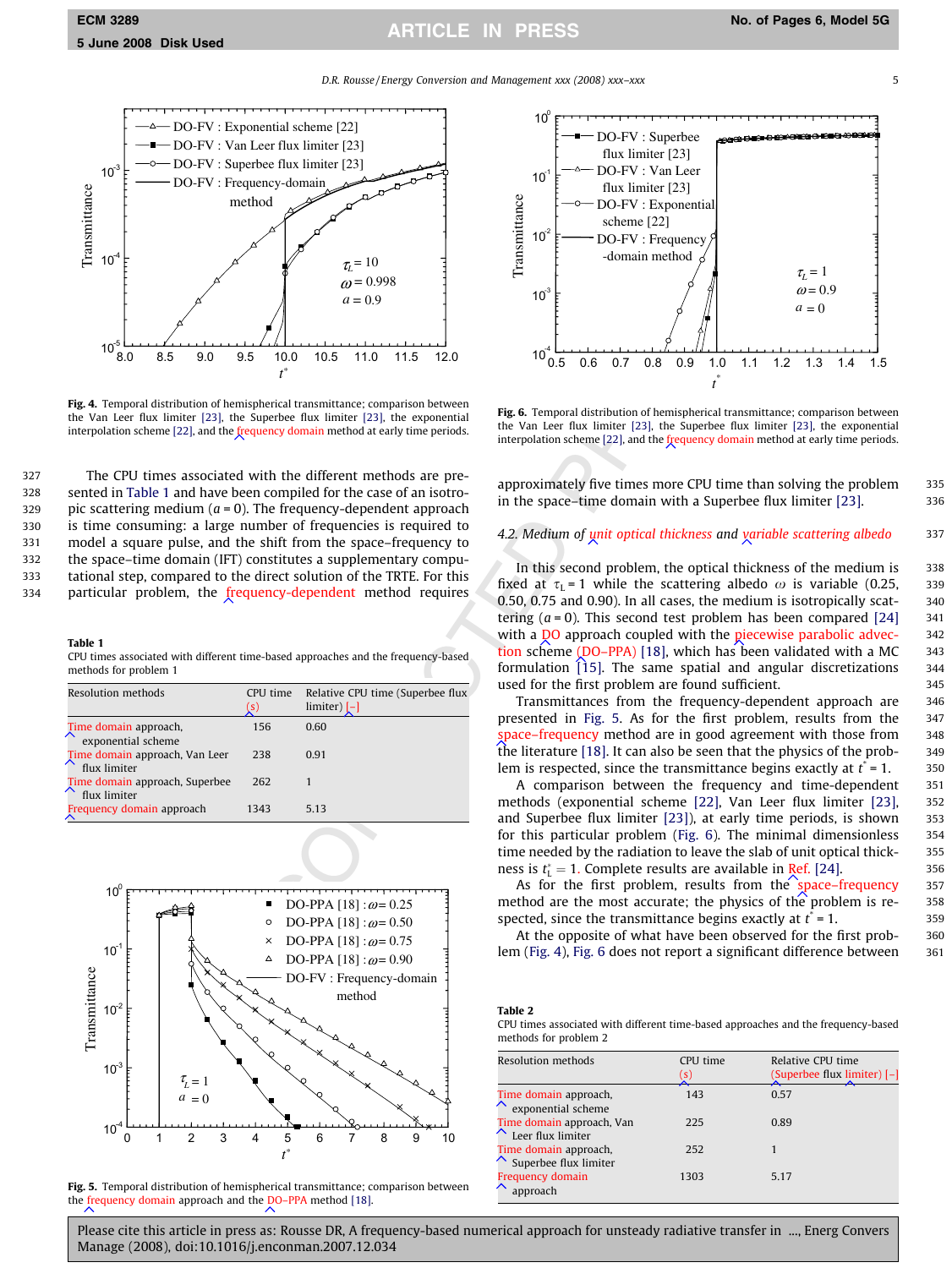5

336

, 352

D.R. Rousse / Energy Conversion and Management xxx (2008) xxx–xxx

<span id="page-4-0"></span>

Fig. 4. Temporal distribution of hemispherical transmittance; comparison between the Van Leer flux limiter [\[23\],](#page-5-0) the Superbee flux limiter [\[23\],](#page-5-0) the exponential interpolation scheme [\[22\],](#page-5-0) and the *frequency domain* method at early time periods.

 The CPU times associated with the different methods are pre- sented in Table 1 and have been compiled for the case of an isotro-329 pic scattering medium  $(a = 0)$ . The frequency-dependent approach is time consuming: a large number of frequencies is required to model a square pulse, and the shift from the space–frequency to the space–time domain (IFT) constitutes a supplementary compu- tational step, compared to the direct solution of the TRTE. For this 334 particular problem, the frequency-dependent method requires

#### Table 1

CPU times associated with different time-based approaches and the frequency-based methods for problem 1

| Resolution methods                             | CPU time<br>'S l | Relative CPU time (Superbee flux<br>$limiter$ $[-]$ |
|------------------------------------------------|------------------|-----------------------------------------------------|
| Time domain approach,<br>exponential scheme    | 156              | 0.60                                                |
| Time domain approach, Van Leer<br>flux limiter | 238              | 0.91                                                |
| Time domain approach, Superbee<br>flux limiter | 262              |                                                     |
| Frequency domain approach                      | 1343             | 5.13                                                |



Fig. 5. Temporal distribution of hemispherical transmittance; comparison between the frequency domain approach and the DO–PPA method [\[18\]](#page-5-0) .



Fig. 6. Temporal distribution of hemispherical transmittance; comparison between the Van Leer flux limiter [23], the Superbee flux limiter [\[23\],](#page-5-0) the exponential interpolation scheme [22], and the frequency domain method at early time periods.

approximately five times more CPU time than solving the problem 335 in the space–time domain with a Superbee flux limiter [\[23\]](#page-5-0)

### 4.2. Medium of unit optical thickness and variable scattering albedo 337

In this second problem, the optical thickness of the medium is 338 fixed at  $\tau_L$  = 1 while the scattering albedo  $\omega$  is variable (0.25, 339) 0.50, 0.75 and 0.90). In all cases, the medium is isotropically scat- 340 tering  $(a = 0)$ . This second test problem has been compared  $[24]$  341 with a  $\overline{Q}O$  approach coupled with the piecewise parabolic advec-<br>342 tion scheme  $(DO-PPA)$  [\[18\],](#page-5-0) which has been validated with a MC 343 formulation  $\begin{bmatrix} 15 \end{bmatrix}$ . The same spatial and angular discretizations 344 used for the first problem are found sufficient. 345

Transmittances from the frequency-dependent approach are 346 presented in Fig. 5. As for the first problem, results from the 347 space–frequency method are in good agreement with those from 348 the literature [\[18\]](#page-5-0). It can also be seen that the physics of the prob- 349 lem is respected, since the transmittance begins exactly at  $t^* = 1$ . 350

A comparison between the frequency and time-dependent 351 methods (exponential scheme [\[22\],](#page-5-0) Van Leer flux limiter [\[23\]](#page-5-0) and Superbee flux limiter [\[23\]\)](#page-5-0), at early time periods, is shown 353 for this particular problem (Fig. 6). The minimal dimensionless 354 time needed by the radiation to leave the slab of unit optical thick- 355 ness is  $t_{\rm L}^*=1$ . Complete results are available in Ref. [\[24\].](#page-5-0)  $356$ 

As for the first problem, results from the space–frequency  $357$ method are the most accurate; the physics of the problem is re-<br>358 spected, since the transmittance begins exactly at  $t^* = 1$ . 359

At the opposite of what have been observed for the first prob- 360 lem (Fig. 4), Fig. 6 does not report a significant difference between 361

#### Table 2

CPU times associated with different time-based approaches and the frequency-based methods for problem 2

| Resolution methods                                    | CPU time<br>(s) | Relative CPU time<br>(Superbee flux limiter) [-] |
|-------------------------------------------------------|-----------------|--------------------------------------------------|
| Time domain approach,<br>$\sim$ exponential scheme    | 143             | 0.57                                             |
| Time domain approach, Van<br>$\sim$ Leer flux limiter | 225             | 0.89                                             |
| Time domain approach,<br>$\sim$ Superbee flux limiter | 252             |                                                  |
| Frequency domain<br>approach                          | 1303            | 5.17                                             |